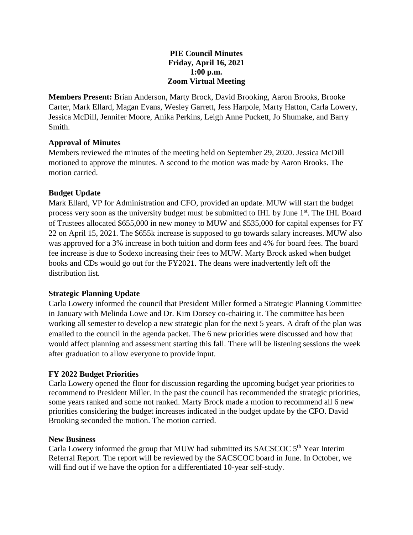### **PIE Council Minutes Friday, April 16, 2021 1:00 p.m. Zoom Virtual Meeting**

**Members Present:** Brian Anderson, Marty Brock, David Brooking, Aaron Brooks, Brooke Carter, Mark Ellard, Magan Evans, Wesley Garrett, Jess Harpole, Marty Hatton, Carla Lowery, Jessica McDill, Jennifer Moore, Anika Perkins, Leigh Anne Puckett, Jo Shumake, and Barry Smith.

## **Approval of Minutes**

Members reviewed the minutes of the meeting held on September 29, 2020. Jessica McDill motioned to approve the minutes. A second to the motion was made by Aaron Brooks. The motion carried.

# **Budget Update**

Mark Ellard, VP for Administration and CFO, provided an update. MUW will start the budget process very soon as the university budget must be submitted to IHL by June  $1<sup>st</sup>$ . The IHL Board of Trustees allocated \$655,000 in new money to MUW and \$535,000 for capital expenses for FY 22 on April 15, 2021. The \$655k increase is supposed to go towards salary increases. MUW also was approved for a 3% increase in both tuition and dorm fees and 4% for board fees. The board fee increase is due to Sodexo increasing their fees to MUW. Marty Brock asked when budget books and CDs would go out for the FY2021. The deans were inadvertently left off the distribution list.

# **Strategic Planning Update**

Carla Lowery informed the council that President Miller formed a Strategic Planning Committee in January with Melinda Lowe and Dr. Kim Dorsey co-chairing it. The committee has been working all semester to develop a new strategic plan for the next 5 years. A draft of the plan was emailed to the council in the agenda packet. The 6 new priorities were discussed and how that would affect planning and assessment starting this fall. There will be listening sessions the week after graduation to allow everyone to provide input.

## **FY 2022 Budget Priorities**

Carla Lowery opened the floor for discussion regarding the upcoming budget year priorities to recommend to President Miller. In the past the council has recommended the strategic priorities, some years ranked and some not ranked. Marty Brock made a motion to recommend all 6 new priorities considering the budget increases indicated in the budget update by the CFO. David Brooking seconded the motion. The motion carried.

## **New Business**

Carla Lowery informed the group that MUW had submitted its SACSCOC  $5<sup>th</sup>$  Year Interim Referral Report. The report will be reviewed by the SACSCOC board in June. In October, we will find out if we have the option for a differentiated 10-year self-study.